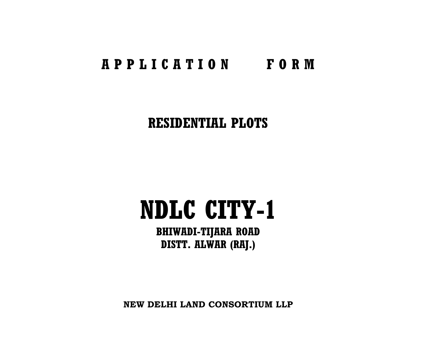# **A P P L I C A T I O N F O R M**

# **RESIDENTIAL PLOTS**

# **NDLC CITY-1**

**BHIWADI-TIJARA ROAD DISTT. ALWAR (RAJ.)**

**NEW DELHI LAND CONSORTIUM LLP**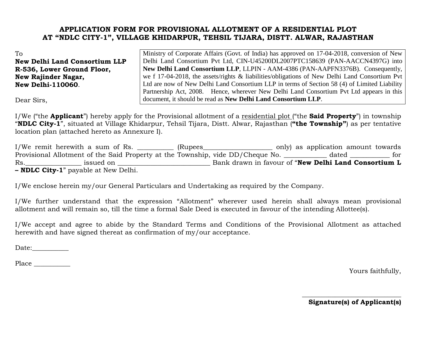# **APPLICATION FORM FOR PROVISIONAL ALLOTMENT OF A RESIDENTIAL PLOT AT "NDLC CITY-1", VILLAGE KHIDARPUR, TEHSIL TIJARA, DISTT. ALWAR, RAJASTHAN**

To **New Delhi Land Consortium LLP R-536, Lower Ground Floor, New Rajinder Nagar, New Delhi-110060**.

Ministry of Corporate Affairs (Govt. of India) has approved on 17-04-2018, conversion of New Delhi Land Consortium Pvt Ltd, CIN-U45200DL2007PTC158639 (PAN-AACCN4397G) into **New Delhi Land Consortium LLP**, LLPIN - AAM-4386 (PAN-AAPFN3376B). Consequently, we f 17-04-2018, the assets/rights & liabilities/obligations of New Delhi Land Consortium Pvt Ltd are now of New Delhi Land Consortium LLP in terms of Section 58 (4) of Limited Liability Partnership Act, 2008. Hence, wherever New Delhi Land Consortium Pvt Ltd appears in this document, it should be read as **New Delhi Land Consortium LLP**.

Dear Sirs,

I/We ("the **Applicant**") hereby apply for the Provisional allotment of a residential plot ("the **Said Property**") in township "**NDLC City-1**", situated at Village Khidarpur, Tehsil Tijara, Distt. Alwar, Rajasthan (**"the Township"**) as per tentative location plan (attached hereto as Annexure I).

I/We remit herewith a sum of Rs. \_\_\_\_\_\_\_\_\_\_ (Rupees\_\_\_\_\_\_\_\_\_\_\_\_\_\_\_\_\_\_\_\_ only) as application amount towards Provisional Allotment of the Said Property at the Township, vide DD/Cheque No. \_\_\_\_\_\_\_\_\_\_\_\_ dated \_\_\_\_\_\_\_\_\_\_\_ for Rs.\_\_\_\_\_\_\_\_\_\_\_\_\_\_\_\_\_ issued on \_\_\_\_\_\_\_\_\_\_\_\_\_\_\_\_\_\_\_\_\_\_\_\_\_\_\_\_ Bank drawn in favour of "**New Delhi Land Consortium L – NDLC City-1**" payable at New Delhi.

I/We enclose herein my/our General Particulars and Undertaking as required by the Company.

I/We further understand that the expression "Allotment" wherever used herein shall always mean provisional allotment and will remain so, till the time a formal Sale Deed is executed in favour of the intending Allottee(s).

I/We accept and agree to abide by the Standard Terms and Conditions of the Provisional Allotment as attached herewith and have signed thereat as confirmation of my/our acceptance.

Date:\_\_\_\_\_\_\_\_\_\_\_

Place  $\Box$ 

Yours faithfully,

 $\overline{\phantom{a}}$  , where  $\overline{\phantom{a}}$  , where  $\overline{\phantom{a}}$  ,  $\overline{\phantom{a}}$  ,  $\overline{\phantom{a}}$  ,  $\overline{\phantom{a}}$  ,  $\overline{\phantom{a}}$  ,  $\overline{\phantom{a}}$  ,  $\overline{\phantom{a}}$  ,  $\overline{\phantom{a}}$  ,  $\overline{\phantom{a}}$  ,  $\overline{\phantom{a}}$  ,  $\overline{\phantom{a}}$  ,  $\overline{\phantom{a}}$  ,  $\overline{\phantom{a}}$  , **Signature(s) of Applicant(s)**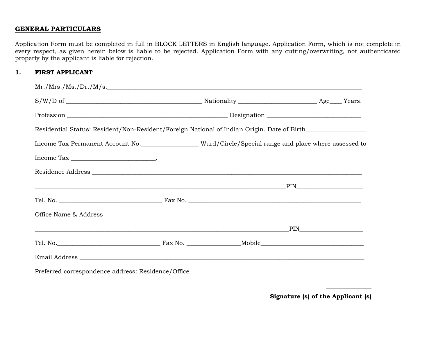# **GENERAL PARTICULARS**

Application Form must be completed in full in BLOCK LETTERS in English language. Application Form, which is not complete in every respect, as given herein below is liable to be rejected. Application Form with any cutting/overwriting, not authenticated properly by the applicant is liable for rejection.

# **1. FIRST APPLICANT**

| Mr./Mrs./ Ms./ Dr./ M/s.                                                                                                                                                                                                                                                                                                                                                                                                                                                                                                      |  |  |  |  |  |  |
|-------------------------------------------------------------------------------------------------------------------------------------------------------------------------------------------------------------------------------------------------------------------------------------------------------------------------------------------------------------------------------------------------------------------------------------------------------------------------------------------------------------------------------|--|--|--|--|--|--|
|                                                                                                                                                                                                                                                                                                                                                                                                                                                                                                                               |  |  |  |  |  |  |
|                                                                                                                                                                                                                                                                                                                                                                                                                                                                                                                               |  |  |  |  |  |  |
| Residential Status: Resident/Non-Resident/Foreign National of Indian Origin. Date of Birth__________                                                                                                                                                                                                                                                                                                                                                                                                                          |  |  |  |  |  |  |
| Income Tax Permanent Account No. ____________________Ward/Circle/Special range and place where assessed to                                                                                                                                                                                                                                                                                                                                                                                                                    |  |  |  |  |  |  |
| $\begin{minipage}{.4\linewidth} \textbf{Income Tax} \begin{minipage}{.4\linewidth} \label{fig:ex3} \end{minipage} \begin{minipage}{.4\linewidth} \textbf{1} \end{minipage} \begin{minipage}{.4\linewidth} \textbf{1} \end{minipage} \begin{minipage}{.4\linewidth} \textbf{1} \end{minipage} \begin{minipage}{.4\linewidth} \textbf{1} \end{minipage} \begin{minipage}{.4\linewidth} \textbf{1} \end{minipage} \begin{minipage}{.4\linewidth} \textbf{1} \end{minipage} \begin{minipage}{.4\linewidth} \textbf{1} \end{minip$ |  |  |  |  |  |  |
|                                                                                                                                                                                                                                                                                                                                                                                                                                                                                                                               |  |  |  |  |  |  |
| <u>in the set of the set of the set of the set of the set of the set of the set of the set of the set of the set o</u>                                                                                                                                                                                                                                                                                                                                                                                                        |  |  |  |  |  |  |
|                                                                                                                                                                                                                                                                                                                                                                                                                                                                                                                               |  |  |  |  |  |  |
|                                                                                                                                                                                                                                                                                                                                                                                                                                                                                                                               |  |  |  |  |  |  |
|                                                                                                                                                                                                                                                                                                                                                                                                                                                                                                                               |  |  |  |  |  |  |
|                                                                                                                                                                                                                                                                                                                                                                                                                                                                                                                               |  |  |  |  |  |  |
|                                                                                                                                                                                                                                                                                                                                                                                                                                                                                                                               |  |  |  |  |  |  |
|                                                                                                                                                                                                                                                                                                                                                                                                                                                                                                                               |  |  |  |  |  |  |

Preferred correspondence address: Residence/Office

**Signature (s) of the Applicant (s)** 

\_\_\_\_\_\_\_\_\_\_\_\_\_\_\_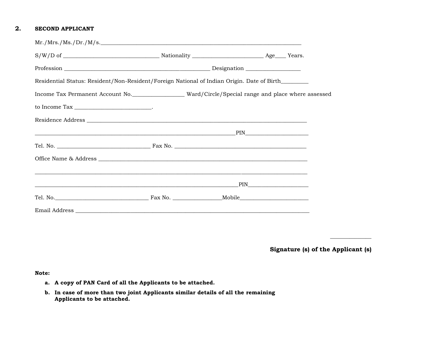# **2. SECOND APPLICANT**

| Mr./Mrs./ Ms./ Dr./ M/s.                                                                                              |  |  |  |  |  |
|-----------------------------------------------------------------------------------------------------------------------|--|--|--|--|--|
|                                                                                                                       |  |  |  |  |  |
|                                                                                                                       |  |  |  |  |  |
| Residential Status: Resident/Non-Resident/Foreign National of Indian Origin. Date of Birth_______                     |  |  |  |  |  |
|                                                                                                                       |  |  |  |  |  |
| to Income Tax $\_\_\_\_\_\_\_\_\_\_\_\_\_\_\_\_\_\_\_$ .                                                              |  |  |  |  |  |
|                                                                                                                       |  |  |  |  |  |
|                                                                                                                       |  |  |  |  |  |
|                                                                                                                       |  |  |  |  |  |
|                                                                                                                       |  |  |  |  |  |
| <u> 1990 - Johann Barbara, martxa alemaniar argumentuar argumentuar argumentuar argumentuar argumentuar argumentu</u> |  |  |  |  |  |
|                                                                                                                       |  |  |  |  |  |
|                                                                                                                       |  |  |  |  |  |
|                                                                                                                       |  |  |  |  |  |

**Signature (s) of the Applicant (s)** 

\_\_\_\_\_\_\_\_\_\_\_\_\_\_\_

**Note:** 

- **a. A copy of PAN Card of all the Applicants to be attached.**
- **b. In case of more than two joint Applicants similar details of all the remaining Applicants to be attached.**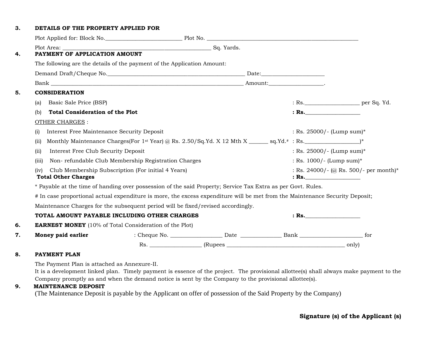# **3. DETAILS OF THE PROPERTY APPLIED FOR**

|    | Plot Applied for: Block No. 2008 Plot No. 2008 Plot No. 2008 Plot No. 2008 Plot Applied for: Block No.                                                                                                                                                                                                                         |                                                     |  |  |                                                 |  |  |
|----|--------------------------------------------------------------------------------------------------------------------------------------------------------------------------------------------------------------------------------------------------------------------------------------------------------------------------------|-----------------------------------------------------|--|--|-------------------------------------------------|--|--|
|    |                                                                                                                                                                                                                                                                                                                                |                                                     |  |  |                                                 |  |  |
| 4. | PAYMENT OF APPLICATION AMOUNT                                                                                                                                                                                                                                                                                                  |                                                     |  |  |                                                 |  |  |
|    | The following are the details of the payment of the Application Amount:                                                                                                                                                                                                                                                        |                                                     |  |  |                                                 |  |  |
|    |                                                                                                                                                                                                                                                                                                                                |                                                     |  |  |                                                 |  |  |
|    |                                                                                                                                                                                                                                                                                                                                |                                                     |  |  |                                                 |  |  |
| 5. | <b>CONSIDERATION</b>                                                                                                                                                                                                                                                                                                           |                                                     |  |  |                                                 |  |  |
|    | Basic Sale Price (BSP)<br>(a)                                                                                                                                                                                                                                                                                                  |                                                     |  |  | : Rs.                                           |  |  |
|    | <b>Total Consideration of the Plot</b><br>(b)                                                                                                                                                                                                                                                                                  |                                                     |  |  | : Rs.                                           |  |  |
|    | <b>OTHER CHARGES:</b>                                                                                                                                                                                                                                                                                                          |                                                     |  |  |                                                 |  |  |
|    | Interest Free Maintenance Security Deposit<br>(i)                                                                                                                                                                                                                                                                              |                                                     |  |  | : Rs. $25000/-$ (Lump sum)*                     |  |  |
|    | (iii)                                                                                                                                                                                                                                                                                                                          |                                                     |  |  |                                                 |  |  |
|    | (ii)<br>Interest Free Club Security Deposit                                                                                                                                                                                                                                                                                    |                                                     |  |  | : Rs. $25000/-$ (Lump sum)*                     |  |  |
|    | (iii)                                                                                                                                                                                                                                                                                                                          | Non-refundable Club Membership Registration Charges |  |  | : Rs. $1000/-$ (Lump sum)*                      |  |  |
|    | (iv)<br><b>Total Other Charges</b>                                                                                                                                                                                                                                                                                             | Club Membership Subscription (For initial 4 Years)  |  |  | : Rs. 24000/- (@ Rs. 500/- per month)*<br>: Rs. |  |  |
|    | * Payable at the time of handing over possession of the said Property; Service Tax Extra as per Govt. Rules.                                                                                                                                                                                                                   |                                                     |  |  |                                                 |  |  |
|    | # In case proportional actual expenditure is more, the excess expenditure will be met from the Maintenance Security Deposit;                                                                                                                                                                                                   |                                                     |  |  |                                                 |  |  |
|    | Maintenance Charges for the subsequent period will be fixed/revised accordingly.                                                                                                                                                                                                                                               |                                                     |  |  |                                                 |  |  |
|    | TOTAL AMOUNT PAYABLE INCLUDING OTHER CHARGES                                                                                                                                                                                                                                                                                   |                                                     |  |  | : Rs.                                           |  |  |
| 6. | <b>EARNEST MONEY</b> (10% of Total Consideration of the Plot)                                                                                                                                                                                                                                                                  |                                                     |  |  |                                                 |  |  |
| 7. | Money paid earlier                                                                                                                                                                                                                                                                                                             |                                                     |  |  |                                                 |  |  |
|    |                                                                                                                                                                                                                                                                                                                                |                                                     |  |  |                                                 |  |  |
| 8. | <b>PAYMENT PLAN</b>                                                                                                                                                                                                                                                                                                            |                                                     |  |  |                                                 |  |  |
| 9. | The Payment Plan is attached as Annexure-II.<br>It is a development linked plan. Timely payment is essence of the project. The provisional allottee(s) shall always make payment to the<br>Company promptly as and when the demand notice is sent by the Company to the provisional allottee(s).<br><b>MAINTENANCE DEPOSIT</b> |                                                     |  |  |                                                 |  |  |

# (The Maintenance Deposit is payable by the Applicant on offer of possession of the Said Property by the Company)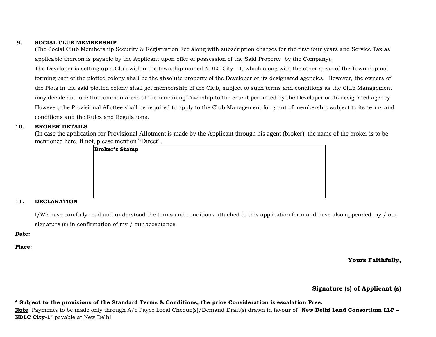#### **9. SOCIAL CLUB MEMBERSHIP**

(The Social Club Membership Security & Registration Fee along with subscription charges for the first four years and Service Tax as applicable thereon is payable by the Applicant upon offer of possession of the Said Property by the Company).

The Developer is setting up a Club within the township named NDLC City – I, which along with the other areas of the Township not forming part of the plotted colony shall be the absolute property of the Developer or its designated agencies. However, the owners of the Plots in the said plotted colony shall get membership of the Club, subject to such terms and conditions as the Club Management may decide and use the common areas of the remaining Township to the extent permitted by the Developer or its designated agency. However, the Provisional Allottee shall be required to apply to the Club Management for grant of membership subject to its terms and conditions and the Rules and Regulations.

# **10. BROKER DETAILS**

(In case the application for Provisional Allotment is made by the Applicant through his agent (broker), the name of the broker is to be mentioned here. If not, please mention "Direct".



#### **11. DECLARATION**

I/We have carefully read and understood the terms and conditions attached to this application form and have also appended my / our signature (s) in confirmation of my / our acceptance.

#### **Date:**

**Place:**

**Yours Faithfully,**

**Signature (s) of Applicant (s)**

**\* Subject to the provisions of the Standard Terms & Conditions, the price Consideration is escalation Free.** 

**Note**: Payments to be made only through A/c Payee Local Cheque(s)/Demand Draft(s) drawn in favour of "**New Delhi Land Consortium LLP – NDLC City-1**" payable at New Delhi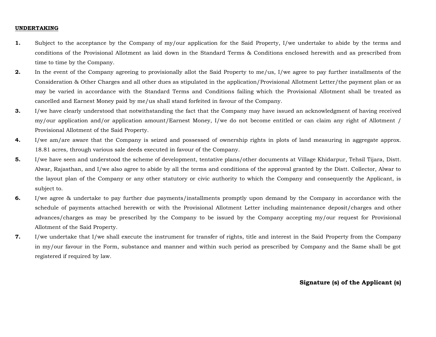#### **UNDERTAKING**

- **1.** Subject to the acceptance by the Company of my/our application for the Said Property, I/we undertake to abide by the terms and conditions of the Provisional Allotment as laid down in the Standard Terms & Conditions enclosed herewith and as prescribed from time to time by the Company.
- **2.** In the event of the Company agreeing to provisionally allot the Said Property to me/us, I/we agree to pay further installments of the Consideration & Other Charges and all other dues as stipulated in the application/Provisional Allotment Letter/the payment plan or as may be varied in accordance with the Standard Terms and Conditions failing which the Provisional Allotment shall be treated as cancelled and Earnest Money paid by me/us shall stand forfeited in favour of the Company.
- **3.** I/we have clearly understood that notwithstanding the fact that the Company may have issued an acknowledgment of having received my/our application and/or application amount/Earnest Money, I/we do not become entitled or can claim any right of Allotment / Provisional Allotment of the Said Property.
- **4.** I/we am/are aware that the Company is seized and possessed of ownership rights in plots of land measuring in aggregate approx. 18.81 acres, through various sale deeds executed in favour of the Company.
- **5.** I/we have seen and understood the scheme of development, tentative plans/other documents at Village Khidarpur, Tehsil Tijara, Distt. Alwar, Rajasthan, and I/we also agree to abide by all the terms and conditions of the approval granted by the Distt. Collector, Alwar to the layout plan of the Company or any other statutory or civic authority to which the Company and consequently the Applicant, is subject to.
- **6.** I/we agree & undertake to pay further due payments/installments promptly upon demand by the Company in accordance with the schedule of payments attached herewith or with the Provisional Allotment Letter including maintenance deposit/charges and other advances/charges as may be prescribed by the Company to be issued by the Company accepting my/our request for Provisional Allotment of the Said Property.
- **7.** I/we undertake that I/we shall execute the instrument for transfer of rights, title and interest in the Said Property from the Company in my/our favour in the Form, substance and manner and within such period as prescribed by Company and the Same shall be got registered if required by law.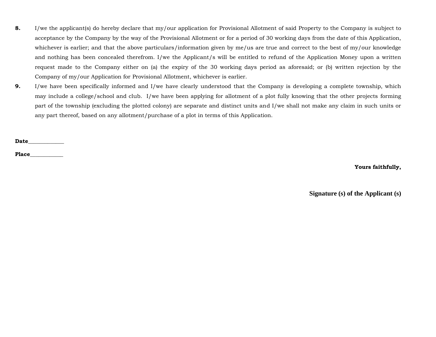- **8.** I/we the applicant(s) do hereby declare that my/our application for Provisional Allotment of said Property to the Company is subject to acceptance by the Company by the way of the Provisional Allotment or for a period of 30 working days from the date of this Application, whichever is earlier; and that the above particulars/information given by me/us are true and correct to the best of my/our knowledge and nothing has been concealed therefrom. I/we the Applicant/s will be entitled to refund of the Application Money upon a written request made to the Company either on (a) the expiry of the 30 working days period as aforesaid; or (b) written rejection by the Company of my/our Application for Provisional Allotment, whichever is earlier.
- **9.** I/we have been specifically informed and I/we have clearly understood that the Company is developing a complete township, which may include a college/school and club. I/we have been applying for allotment of a plot fully knowing that the other projects forming part of the township (excluding the plotted colony) are separate and distinct units and I/we shall not make any claim in such units or any part thereof, based on any allotment/purchase of a plot in terms of this Application.

**Date\_\_\_\_\_\_\_\_\_\_\_\_\_**

**Place\_\_\_\_\_\_\_\_\_\_\_\_**

# **Yours faithfully,**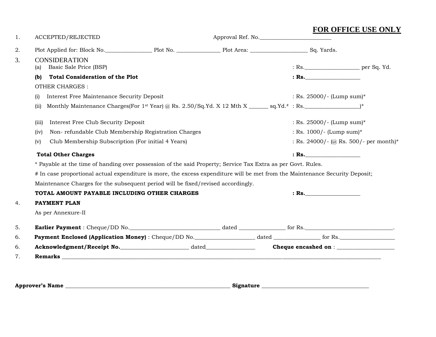| 1. | ACCEPTED/REJECTED                                                                                                            |  | Approval Ref. No. |  |                                        |  |  |  |
|----|------------------------------------------------------------------------------------------------------------------------------|--|-------------------|--|----------------------------------------|--|--|--|
| 2. | Plot Applied for: Block No. 2008 Plot No. 2008 Plot Area: 2008 Plot Area: 2008 Plot Applied for: Block No.                   |  |                   |  |                                        |  |  |  |
| 3. | <b>CONSIDERATION</b><br>Basic Sale Price (BSP)<br>(a)                                                                        |  |                   |  | : Rs.                                  |  |  |  |
|    | <b>Total Consideration of the Plot</b><br>(b)                                                                                |  |                   |  | : Rs.                                  |  |  |  |
|    | <b>OTHER CHARGES:</b>                                                                                                        |  |                   |  |                                        |  |  |  |
|    | Interest Free Maintenance Security Deposit<br>(i)                                                                            |  |                   |  | : Rs. $25000/-$ (Lump sum)*            |  |  |  |
|    | (ii)                                                                                                                         |  |                   |  |                                        |  |  |  |
|    | Interest Free Club Security Deposit<br>(iii)                                                                                 |  |                   |  | : Rs. $25000/-$ (Lump sum)*            |  |  |  |
|    | Non-refundable Club Membership Registration Charges<br>(iv)                                                                  |  |                   |  | : Rs. 1000/- (Lump sum)*               |  |  |  |
|    | Club Membership Subscription (For initial 4 Years)<br>(v)                                                                    |  |                   |  | : Rs. 24000/- (@ Rs. 500/- per month)* |  |  |  |
|    | <b>Total Other Charges</b>                                                                                                   |  |                   |  | $:$ Rs.                                |  |  |  |
|    | * Payable at the time of handing over possession of the said Property; Service Tax Extra as per Govt. Rules.                 |  |                   |  |                                        |  |  |  |
|    | # In case proportional actual expenditure is more, the excess expenditure will be met from the Maintenance Security Deposit; |  |                   |  |                                        |  |  |  |
|    | Maintenance Charges for the subsequent period will be fixed/revised accordingly.                                             |  |                   |  |                                        |  |  |  |
|    | TOTAL AMOUNT PAYABLE INCLUDING OTHER CHARGES                                                                                 |  |                   |  | $:$ Rs.                                |  |  |  |
| 4. | <b>PAYMENT PLAN</b>                                                                                                          |  |                   |  |                                        |  |  |  |
|    | As per Annexure-II                                                                                                           |  |                   |  |                                        |  |  |  |
| 5. |                                                                                                                              |  |                   |  |                                        |  |  |  |
| 6. |                                                                                                                              |  |                   |  |                                        |  |  |  |
| 6. |                                                                                                                              |  |                   |  |                                        |  |  |  |
| 7. |                                                                                                                              |  |                   |  |                                        |  |  |  |

**Approver's Name \_\_\_\_\_\_\_\_\_\_\_\_\_\_\_\_\_\_\_\_\_\_\_\_\_\_\_\_\_\_\_\_\_\_\_\_\_\_\_\_\_\_\_\_\_\_\_\_\_\_\_\_\_\_\_\_\_\_\_\_ Signature \_\_\_\_\_\_\_\_\_\_\_\_\_\_\_\_\_\_\_\_\_\_\_\_\_\_\_\_\_\_\_\_\_\_\_\_\_\_\_**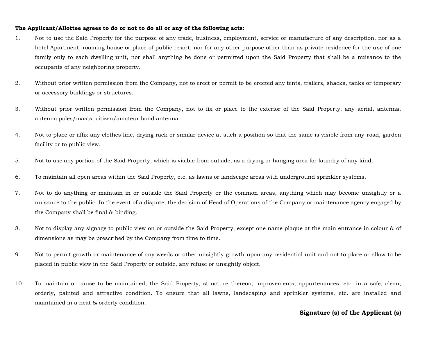#### **The Applicant/Allottee agrees to do or not to do all or any of the following acts:**

- 1. Not to use the Said Property for the purpose of any trade, business, employment, service or manufacture of any description, nor as a hotel Apartment, rooming house or place of public resort, nor for any other purpose other than as private residence for the use of one family only to each dwelling unit, nor shall anything be done or permitted upon the Said Property that shall be a nuisance to the occupants of any neighboring property.
- 2. Without prior written permission from the Company, not to erect or permit to be erected any tents, trailers, shacks, tanks or temporary or accessory buildings or structures.
- 3. Without prior written permission from the Company, not to fix or place to the exterior of the Said Property, any aerial, antenna, antenna poles/masts, citizen/amateur bond antenna.
- 4. Not to place or affix any clothes line, drying rack or similar device at such a position so that the same is visible from any road, garden facility or to public view.
- 5. Not to use any portion of the Said Property, which is visible from outside, as a drying or hanging area for laundry of any kind.
- 6. To maintain all open areas within the Said Property, etc. as lawns or landscape areas with underground sprinkler systems.
- 7. Not to do anything or maintain in or outside the Said Property or the common areas, anything which may become unsightly or a nuisance to the public. In the event of a dispute, the decision of Head of Operations of the Company or maintenance agency engaged by the Company shall be final & binding.
- 8. Not to display any signage to public view on or outside the Said Property, except one name plaque at the main entrance in colour & of dimensions as may be prescribed by the Company from time to time.
- 9. Not to permit growth or maintenance of any weeds or other unsightly growth upon any residential unit and not to place or allow to be placed in public view in the Said Property or outside, any refuse or unsightly object.
- 10. To maintain or cause to be maintained, the Said Property, structure thereon, improvements, appurtenances, etc. in a safe, clean, orderly, painted and attractive condition. To ensure that all lawns, landscaping and sprinkler systems, etc. are installed and maintained in a neat & orderly condition.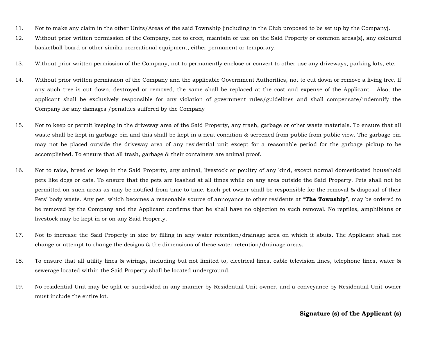- 11. Not to make any claim in the other Units/Areas of the said Township (including in the Club proposed to be set up by the Company).
- 12. Without prior written permission of the Company, not to erect, maintain or use on the Said Property or common areas(s), any coloured basketball board or other similar recreational equipment, either permanent or temporary.
- 13. Without prior written permission of the Company, not to permanently enclose or convert to other use any driveways, parking lots, etc.
- 14. Without prior written permission of the Company and the applicable Government Authorities, not to cut down or remove a living tree. If any such tree is cut down, destroyed or removed, the same shall be replaced at the cost and expense of the Applicant. Also, the applicant shall be exclusively responsible for any violation of government rules/guidelines and shall compensate/indemnify the Company for any damages /penalties suffered by the Company
- 15. Not to keep or permit keeping in the driveway area of the Said Property, any trash, garbage or other waste materials. To ensure that all waste shall be kept in garbage bin and this shall be kept in a neat condition & screened from public from public view. The garbage bin may not be placed outside the driveway area of any residential unit except for a reasonable period for the garbage pickup to be accomplished. To ensure that all trash, garbage & their containers are animal proof.
- 16. Not to raise, breed or keep in the Said Property, any animal, livestock or poultry of any kind, except normal domesticated household pets like dogs or cats. To ensure that the pets are leashed at all times while on any area outside the Said Property. Pets shall not be permitted on such areas as may be notified from time to time. Each pet owner shall be responsible for the removal & disposal of their Pets' body waste. Any pet, which becomes a reasonable source of annoyance to other residents at "**The Township**", may be ordered to be removed by the Company and the Applicant confirms that he shall have no objection to such removal. No reptiles, amphibians or livestock may be kept in or on any Said Property.
- 17. Not to increase the Said Property in size by filling in any water retention/drainage area on which it abuts. The Applicant shall not change or attempt to change the designs & the dimensions of these water retention/drainage areas.
- 18. To ensure that all utility lines & wirings, including but not limited to, electrical lines, cable television lines, telephone lines, water & sewerage located within the Said Property shall be located underground.
- 19. No residential Unit may be split or subdivided in any manner by Residential Unit owner, and a conveyance by Residential Unit owner must include the entire lot.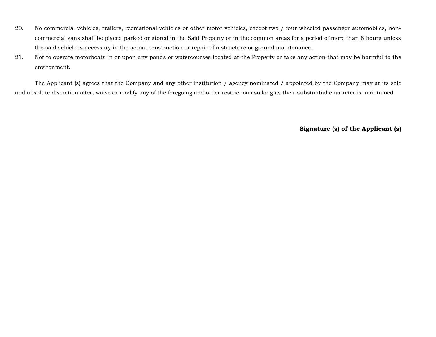- 20. No commercial vehicles, trailers, recreational vehicles or other motor vehicles, except two / four wheeled passenger automobiles, noncommercial vans shall be placed parked or stored in the Said Property or in the common areas for a period of more than 8 hours unless the said vehicle is necessary in the actual construction or repair of a structure or ground maintenance.
- 21. Not to operate motorboats in or upon any ponds or watercourses located at the Property or take any action that may be harmful to the environment.

The Applicant (s) agrees that the Company and any other institution / agency nominated / appointed by the Company may at its sole and absolute discretion alter, waive or modify any of the foregoing and other restrictions so long as their substantial character is maintained.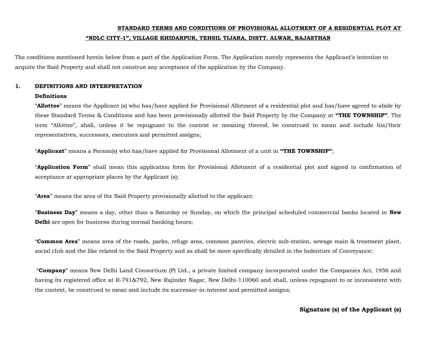# **STANDARD TERMS AND CONDITIONS OF PROVISIONAL ALLOTMENT OF A RESIDENTIAL PLOT AT "NDLC CITY-1", VILLAGE KHIDARPUR, TEHSIL TIJARA, DISTT. ALWAR, RAJASTHAN**

The conditions mentioned herein below from a part of the Application Form. The Application merely represents the Applicant's intention to acquire the Said Property and shall not construe any acceptance of the application by the Company.

# **1. DEFINITIONS AND INTERPRETATION**

#### **Definitions**

"**Allottee**" means the Applicant (s) who has/have applied for Provisional Allotment of a residential plot and has/have agreed to abide by these Standard Terms & Conditions and has been provisionally allotted the Said Property by the Company at **"THE TOWNSHIP"**. The term "Allottee", shall, unless it be repugnant to the context or meaning thereof, be construed to mean and include his/their representatives, successors, executors and permitted assigns;

"**Applicant**" means a Person(s) who has/have applied for Provisional Allotment of a unit in **"THE TOWNSHIP"**;

"**Application Form**" shall mean this application form for Provisional Allotment of a residential plot and signed in confirmation of acceptance at appropriate places by the Applicant (s);

"**Area**" means the area of the Said Property provisionally allotted to the applicant.

"**Business Day**" means a day, other than a Saturday or Sunday, on which the principal scheduled commercial banks located in **New Delhi** are open for business during normal banking hours;

"**Common Area**" means area of the roads, parks, refuge area, common pantries, electric sub-station, sewage main & treatment plant, social club and the like related to the Said Property and as shall be more specifically detailed in the Indenture of Conveyance;

"**Company**" means New Delhi Land Consortium (P) Ltd., a private limited company incorporated under the Companies Act, 1956 and having its registered office at R-791&792, New Rajinder Nagar, New Delhi-110060 and shall, unless repugnant to or inconsistent with the context, be construed to mean and include its successor-in-interest and permitted assigns;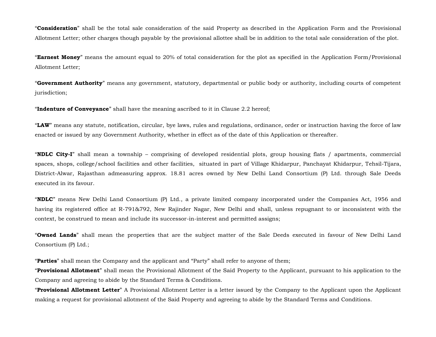"**Consideration**" shall be the total sale consideration of the said Property as described in the Application Form and the Provisional Allotment Letter; other charges though payable by the provisional allottee shall be in addition to the total sale consideration of the plot.

"**Earnest Money**" means the amount equal to 20% of total consideration for the plot as specified in the Application Form/Provisional Allotment Letter;

"**Government Authority**" means any government, statutory, departmental or public body or authority, including courts of competent jurisdiction;

"**Indenture of Conveyance**" shall have the meaning ascribed to it in Clause 2.2 hereof;

"**LAW**" means any statute, notification, circular, bye laws, rules and regulations, ordinance, order or instruction having the force of law enacted or issued by any Government Authority, whether in effect as of the date of this Application or thereafter.

"**NDLC City-I**" shall mean a township – comprising of developed residential plots, group housing flats / apartments, commercial spaces, shops, college/school facilities and other facilities, situated in part of Village Khidarpur, Panchayat Khidarpur, Tehsil-Tijara, District-Alwar, Rajasthan admeasuring approx. 18.81 acres owned by New Delhi Land Consortium (P) Ltd. through Sale Deeds executed in its favour.

"**NDLC**" means New Delhi Land Consortium (P) Ltd., a private limited company incorporated under the Companies Act, 1956 and having its registered office at R-791&792, New Rajinder Nagar, New Delhi and shall, unless repugnant to or inconsistent with the context, be construed to mean and include its successor-in-interest and permitted assigns;

"**Owned Lands**" shall mean the properties that are the subject matter of the Sale Deeds executed in favour of New Delhi Land Consortium (P) Ltd.;

"**Parties**" shall mean the Company and the applicant and "Party" shall refer to anyone of them;

"**Provisional Allotment**" shall mean the Provisional Allotment of the Said Property to the Applicant, pursuant to his application to the Company and agreeing to abide by the Standard Terms & Conditions.

"**Provisional Allotment Letter**" A Provisional Allotment Letter is a letter issued by the Company to the Applicant upon the Applicant making a request for provisional allotment of the Said Property and agreeing to abide by the Standard Terms and Conditions.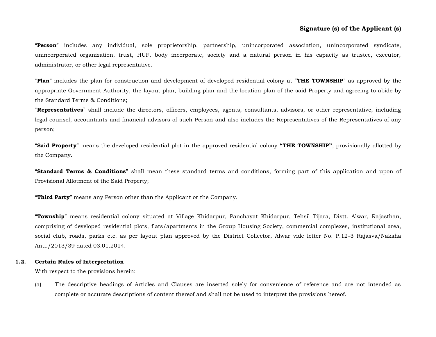"**Person**" includes any individual, sole proprietorship, partnership, unincorporated association, unincorporated syndicate, unincorporated organization, trust, HUF, body incorporate, society and a natural person in his capacity as trustee, executor, administrator, or other legal representative.

"**Plan**" includes the plan for construction and development of developed residential colony at "**THE TOWNSHIP**" as approved by the appropriate Government Authority, the layout plan, building plan and the location plan of the said Property and agreeing to abide by the Standard Terms & Conditions;

"**Representatives**" shall include the directors, officers, employees, agents, consultants, advisors, or other representative, including legal counsel, accountants and financial advisors of such Person and also includes the Representatives of the Representatives of any person;

"**Said Property**" means the developed residential plot in the approved residential colony **"THE TOWNSHIP"**, provisionally allotted by the Company.

"**Standard Terms & Conditions**" shall mean these standard terms and conditions, forming part of this application and upon of Provisional Allotment of the Said Property;

"**Third Party**" means any Person other than the Applicant or the Company.

"**Township**" means residential colony situated at Village Khidarpur, Panchayat Khidarpur, Tehsil Tijara, Distt. Alwar, Rajasthan, comprising of developed residential plots, flats/apartments in the Group Housing Society, commercial complexes, institutional area, social club, roads, parks etc. as per layout plan approved by the District Collector, Alwar vide letter No. P.12-3 Rajasva/Naksha Anu./2013/39 dated 03.01.2014.

#### **1.2. Certain Rules of Interpretation**

With respect to the provisions herein:

(a) The descriptive headings of Articles and Clauses are inserted solely for convenience of reference and are not intended as complete or accurate descriptions of content thereof and shall not be used to interpret the provisions hereof.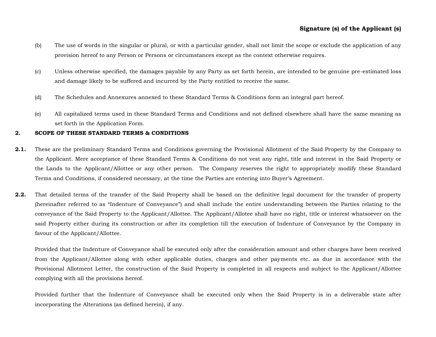- (b) The use of words in the singular or plural, or with a particular gender, shall not limit the scope or exclude the application of any provision hereof to any Person or Persons or circumstances except as the context otherwise requires.
- (c) Unless otherwise specified, the damages payable by any Party as set forth herein, are intended to be genuine pre-estimated loss and damage likely to be suffered and incurred by the Party entitled to receive the same.
- (d) The Schedules and Annexures annexed to these Standard Terms & Conditions form an integral part hereof.
- (e) All capitalized terms used in these Standard Terms and Conditions and not defined elsewhere shall have the same meaning as set forth in the Application Form.

#### **2. SCOPE OF THESE STANDARD TERMS & CONDITIONS**

- **2.1.** These are the preliminary Standard Terms and Conditions governing the Provisional Allotment of the Said Property by the Company to the Applicant. Mere acceptance of these Standard Terms & Conditions do not vest any right, title and interest in the Said Property or the Lands to the Applicant/Allottee or any other person. The Company reserves the right to appropriately modify these Standard Terms and Conditions, if considered necessary, at the time the Parties are entering into Buyer's Agreement.
- **2.2.** That detailed terms of the transfer of the Said Property shall be based on the definitive legal document for the transfer of property (hereinafter referred to as "Indenture of Conveyance") and shall include the entire understanding between the Parties relating to the conveyance of the Said Property to the Applicant/Allottee. The Applicant/Allotee shall have no right, title or interest whatsoever on the said Property either during its construction or after its completion till the execution of Indenture of Conveyance by the Company in favour of the Applicant/Allottee.

Provided that the Indenture of Conveyance shall be executed only after the consideration amount and other charges have been received from the Applicant/Allottee along with other applicable duties, charges and other payments etc. as due in accordance with the Provisional Allotment Letter, the construction of the Said Property is completed in all respects and subject to the Applicant/Allottee complying with all the provisions hereof.

Provided further that the Indenture of Conveyance shall be executed only when the Said Property is in a deliverable state after incorporating the Alterations (as defined herein), if any.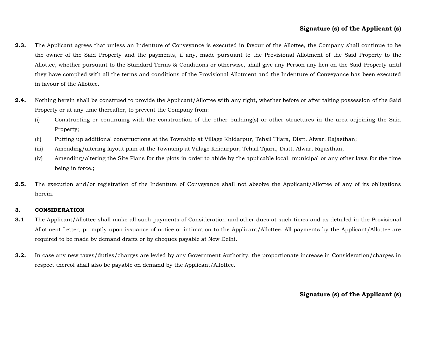- **2.3.** The Applicant agrees that unless an Indenture of Conveyance is executed in favour of the Allottee, the Company shall continue to be the owner of the Said Property and the payments, if any, made pursuant to the Provisional Allotment of the Said Property to the Allottee, whether pursuant to the Standard Terms & Conditions or otherwise, shall give any Person any lien on the Said Property until they have complied with all the terms and conditions of the Provisional Allotment and the Indenture of Conveyance has been executed in favour of the Allottee.
- **2.4.** Nothing herein shall be construed to provide the Applicant/Allottee with any right, whether before or after taking possession of the Said Property or at any time thereafter, to prevent the Company from:
	- (i) Constructing or continuing with the construction of the other building(s) or other structures in the area adjoining the Said Property;
	- (ii) Putting up additional constructions at the Township at Village Khidarpur, Tehsil Tijara, Distt. Alwar, Rajasthan;
	- (iii) Amending/altering layout plan at the Township at Village Khidarpur, Tehsil Tijara, Distt. Alwar, Rajasthan;
	- (iv) Amending/altering the Site Plans for the plots in order to abide by the applicable local, municipal or any other laws for the time being in force.;
- **2.5.** The execution and/or registration of the Indenture of Conveyance shall not absolve the Applicant/Allottee of any of its obligations herein.

#### **3. CONSIDERATION**

- **3.1** The Applicant/Allottee shall make all such payments of Consideration and other dues at such times and as detailed in the Provisional Allotment Letter, promptly upon issuance of notice or intimation to the Applicant/Allottee. All payments by the Applicant/Allottee are required to be made by demand drafts or by cheques payable at New Delhi.
- **3.2.** In case any new taxes/duties/charges are levied by any Government Authority, the proportionate increase in Consideration/charges in respect thereof shall also be payable on demand by the Applicant/Allottee.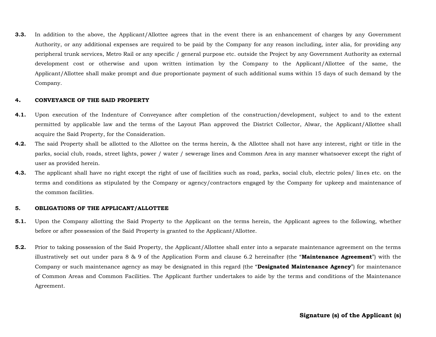**3.3.** In addition to the above, the Applicant/Allottee agrees that in the event there is an enhancement of charges by any Government Authority, or any additional expenses are required to be paid by the Company for any reason including, inter alia, for providing any peripheral trunk services, Metro Rail or any specific / general purpose etc. outside the Project by any Government Authority as external development cost or otherwise and upon written intimation by the Company to the Applicant/Allottee of the same, the Applicant/Allottee shall make prompt and due proportionate payment of such additional sums within 15 days of such demand by the Company.

#### **4. CONVEYANCE OF THE SAID PROPERTY**

- **4.1.** Upon execution of the Indenture of Conveyance after completion of the construction/development, subject to and to the extent permitted by applicable law and the terms of the Layout Plan approved the District Collector, Alwar, the Applicant/Allottee shall acquire the Said Property, for the Consideration.
- **4.2.** The said Property shall be allotted to the Allottee on the terms herein, & the Allottee shall not have any interest, right or title in the parks, social club, roads, street lights, power / water / sewerage lines and Common Area in any manner whatsoever except the right of user as provided herein.
- **4.3.** The applicant shall have no right except the right of use of facilities such as road, parks, social club, electric poles/ lines etc. on the terms and conditions as stipulated by the Company or agency/contractors engaged by the Company for upkeep and maintenance of the common facilities.

#### **5. OBLIGATIONS OF THE APPLICANT/ALLOTTEE**

- **5.1.** Upon the Company allotting the Said Property to the Applicant on the terms herein, the Applicant agrees to the following, whether before or after possession of the Said Property is granted to the Applicant/Allottee.
- **5.2.** Prior to taking possession of the Said Property, the Applicant/Allottee shall enter into a separate maintenance agreement on the terms illustratively set out under para 8 & 9 of the Application Form and clause 6.2 hereinafter (the "**Maintenance Agreement**") with the Company or such maintenance agency as may be designated in this regard (the "**Designated Maintenance Agency**") for maintenance of Common Areas and Common Facilities. The Applicant further undertakes to aide by the terms and conditions of the Maintenance Agreement.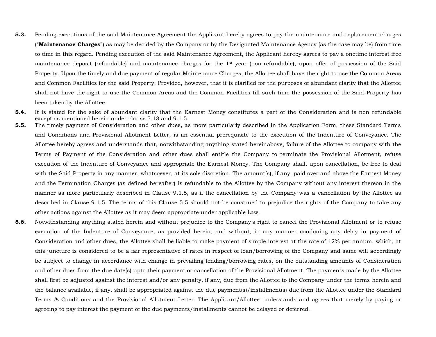- **5.3.** Pending executions of the said Maintenance Agreement the Applicant hereby agrees to pay the maintenance and replacement charges ("**Maintenance Charges**") as may be decided by the Company or by the Designated Maintenance Agency (as the case may be) from time to time in this regard. Pending execution of the said Maintenance Agreement, the Applicant hereby agrees to pay a onetime interest free maintenance deposit (refundable) and maintenance charges for the 1st year (non-refundable), upon offer of possession of the Said Property. Upon the timely and due payment of regular Maintenance Charges, the Allottee shall have the right to use the Common Areas and Common Facilities for the said Property. Provided, however, that it is clarified for the purposes of abundant clarity that the Allottee shall not have the right to use the Common Areas and the Common Facilities till such time the possession of the Said Property has been taken by the Allottee.
- **5.4.** It is stated for the sake of abundant clarity that the Earnest Money constitutes a part of the Consideration and is non refundable except as mentioned herein under clause 5.13 and 9.1.5.
- **5.5.** The timely payment of Consideration and other dues, as more particularly described in the Application Form, these Standard Terms and Conditions and Provisional Allotment Letter, is an essential prerequisite to the execution of the Indenture of Conveyance. The Allottee hereby agrees and understands that, notwithstanding anything stated hereinabove, failure of the Allottee to company with the Terms of Payment of the Consideration and other dues shall entitle the Company to terminate the Provisional Allotment, refuse execution of the Indenture of Conveyance and appropriate the Earnest Money. The Company shall, upon cancellation, be free to deal with the Said Property in any manner, whatsoever, at its sole discretion. The amount(s), if any, paid over and above the Earnest Money and the Termination Charges (as defined hereafter) is refundable to the Allottee by the Company without any interest thereon in the manner as more particularly described in Clause 9.1.5, as if the cancellation by the Company was a cancellation by the Allottee as described in Clause 9.1.5. The terms of this Clause 5.5 should not be construed to prejudice the rights of the Company to take any other actions against the Allottee as it may deem appropriate under applicable Law.
- **5.6.** Notwithstanding anything stated herein and without prejudice to the Company's right to cancel the Provisional Allotment or to refuse execution of the Indenture of Conveyance, as provided herein, and without, in any manner condoning any delay in payment of Consideration and other dues, the Allottee shall be liable to make payment of simple interest at the rate of 12% per annum, which, at this juncture is considered to be a fair representative of rates in respect of loan/borrowing of the Company and same will accordingly be subject to change in accordance with change in prevailing lending/borrowing rates, on the outstanding amounts of Consideration and other dues from the due date(s) upto their payment or cancellation of the Provisional Allotment. The payments made by the Allottee shall first be adjusted against the interest and/or any penalty, if any, due from the Allottee to the Company under the terms herein and the balance available, if any, shall be appropriated against the due payment(s)/installment(s) due from the Allottee under the Standard Terms & Conditions and the Provisional Allotment Letter. The Applicant/Allottee understands and agrees that merely by paying or agreeing to pay interest the payment of the due payments/installments cannot be delayed or deferred.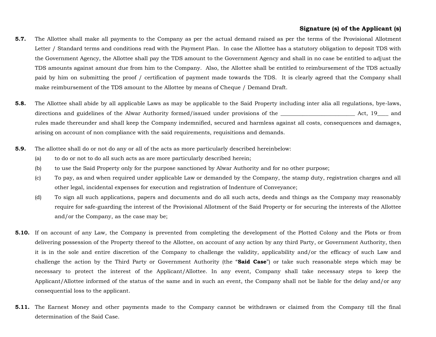- **5.7.** The Allottee shall make all payments to the Company as per the actual demand raised as per the terms of the Provisional Allotment Letter / Standard terms and conditions read with the Payment Plan. In case the Allottee has a statutory obligation to deposit TDS with the Government Agency, the Allottee shall pay the TDS amount to the Government Agency and shall in no case be entitled to adjust the TDS amounts against amount due from him to the Company. Also, the Allottee shall be entitled to reimbursement of the TDS actually paid by him on submitting the proof / certification of payment made towards the TDS. It is clearly agreed that the Company shall make reimbursement of the TDS amount to the Allottee by means of Cheque / Demand Draft.
- **5.8.** The Allottee shall abide by all applicable Laws as may be applicable to the Said Property including inter alia all regulations, bye-laws, directions and guidelines of the Alwar Authority formed/issued under provisions of the \_\_\_\_\_\_\_\_\_\_\_\_\_\_\_\_\_\_\_\_\_\_\_ Act, 19\_\_\_ and rules made thereunder and shall keep the Company indemnified, secured and harmless against all costs, consequences and damages, arising on account of non compliance with the said requirements, requisitions and demands.
- **5.9.** The allottee shall do or not do any or all of the acts as more particularly described hereinbelow:
	- (a) to do or not to do all such acts as are more particularly described herein;
	- (b) to use the Said Property only for the purpose sanctioned by Alwar Authority and for no other purpose;
	- (c) To pay, as and when required under applicable Law or demanded by the Company, the stamp duty, registration charges and all other legal, incidental expenses for execution and registration of Indenture of Conveyance;
	- (d) To sign all such applications, papers and documents and do all such acts, deeds and things as the Company may reasonably require for safe-guarding the interest of the Provisional Allotment of the Said Property or for securing the interests of the Allottee and/or the Company, as the case may be;
- **5.10.** If on account of any Law, the Company is prevented from completing the development of the Plotted Colony and the Plots or from delivering possession of the Property thereof to the Allottee, on account of any action by any third Party, or Government Authority, then it is in the sole and entire discretion of the Company to challenge the validity, applicability and/or the efficacy of such Law and challenge the action by the Third Party or Government Authority (the "**Said Case**") or take such reasonable steps which may be necessary to protect the interest of the Applicant/Allottee. In any event, Company shall take necessary steps to keep the Applicant/Allottee informed of the status of the same and in such an event, the Company shall not be liable for the delay and/or any consequential loss to the applicant.
- **5.11.** The Earnest Money and other payments made to the Company cannot be withdrawn or claimed from the Company till the final determination of the Said Case.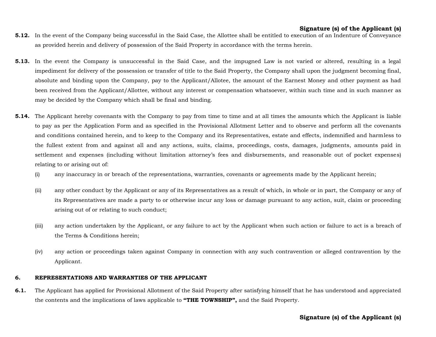- **5.12.** In the event of the Company being successful in the Said Case, the Allottee shall be entitled to execution of an Indenture of Conveyance as provided herein and delivery of possession of the Said Property in accordance with the terms herein.
- **5.13.** In the event the Company is unsuccessful in the Said Case, and the impugned Law is not varied or altered, resulting in a legal impediment for delivery of the possession or transfer of title to the Said Property, the Company shall upon the judgment becoming final, absolute and binding upon the Company, pay to the Applicant/Allotee, the amount of the Earnest Money and other payment as had been received from the Applicant/Allottee, without any interest or compensation whatsoever, within such time and in such manner as may be decided by the Company which shall be final and binding.
- **5.14.** The Applicant hereby covenants with the Company to pay from time to time and at all times the amounts which the Applicant is liable to pay as per the Application Form and as specified in the Provisional Allotment Letter and to observe and perform all the covenants and conditions contained herein, and to keep to the Company and its Representatives, estate and effects, indemnified and harmless to the fullest extent from and against all and any actions, suits, claims, proceedings, costs, damages, judgments, amounts paid in settlement and expenses (including without limitation attorney's fees and disbursements, and reasonable out of pocket expenses) relating to or arising out of:
	- (i) any inaccuracy in or breach of the representations, warranties, covenants or agreements made by the Applicant herein;
	- (ii) any other conduct by the Applicant or any of its Representatives as a result of which, in whole or in part, the Company or any of its Representatives are made a party to or otherwise incur any loss or damage pursuant to any action, suit, claim or proceeding arising out of or relating to such conduct;
	- (iii) any action undertaken by the Applicant, or any failure to act by the Applicant when such action or failure to act is a breach of the Terms & Conditions herein;
	- (iv) any action or proceedings taken against Company in connection with any such contravention or alleged contravention by the Applicant.

#### **6. REPRESENTATIONS AND WARRANTIES OF THE APPLICANT**

**6.1.** The Applicant has applied for Provisional Allotment of the Said Property after satisfying himself that he has understood and appreciated the contents and the implications of laws applicable to **"THE TOWNSHIP",** and the Said Property.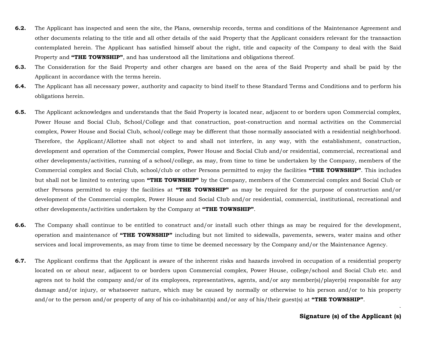- **6.2.** The Applicant has inspected and seen the site, the Plans, ownership records, terms and conditions of the Maintenance Agreement and other documents relating to the title and all other details of the said Property that the Applicant considers relevant for the transaction contemplated herein. The Applicant has satisfied himself about the right, title and capacity of the Company to deal with the Said Property and **"THE TOWNSHIP"**, and has understood all the limitations and obligations thereof.
- **6.3.** The Consideration for the Said Property and other charges are based on the area of the Said Property and shall be paid by the Applicant in accordance with the terms herein.
- **6.4.** The Applicant has all necessary power, authority and capacity to bind itself to these Standard Terms and Conditions and to perform his obligations herein.
- **6.5.** The Applicant acknowledges and understands that the Said Property is located near, adjacent to or borders upon Commercial complex, Power House and Social Club, School/College and that construction, post-construction and normal activities on the Commercial complex, Power House and Social Club, school/college may be different that those normally associated with a residential neighborhood. Therefore, the Applicant/Allottee shall not object to and shall not interfere, in any way, with the establishment, construction, development and operation of the Commercial complex, Power House and Social Club and/or residential, commercial, recreational and other developments/activities, running of a school/college, as may, from time to time be undertaken by the Company, members of the Commercial complex and Social Club, school/club or other Persons permitted to enjoy the facilities **"THE TOWNSHIP"**. This includes but shall not be limited to entering upon **"THE TOWNSHIP"** by the Company, members of the Commercial complex and Social Club or other Persons permitted to enjoy the facilities at **"THE TOWNSHIP"** as may be required for the purpose of construction and/or development of the Commercial complex, Power House and Social Club and/or residential, commercial, institutional, recreational and other developments/activities undertaken by the Company at **"THE TOWNSHIP"**.
- **6.6.** The Company shall continue to be entitled to construct and/or install such other things as may be required for the development, operation and maintenance of **"THE TOWNSHIP"** including but not limited to sidewalls, pavements, sewers, water mains and other services and local improvements, as may from time to time be deemed necessary by the Company and/or the Maintenance Agency.
- **6.7.** The Applicant confirms that the Applicant is aware of the inherent risks and hazards involved in occupation of a residential property located on or about near, adjacent to or borders upon Commercial complex, Power House, college/school and Social Club etc. and agrees not to hold the company and/or of its employees, representatives, agents, and/or any member(s)/player(s) responsible for any damage and/or injury, or whatsoever nature, which may be caused by normally or otherwise to his person and/or to his property and/or to the person and/or property of any of his co-inhabitant(s) and/or any of his/their guest(s) at **"THE TOWNSHIP"**.

`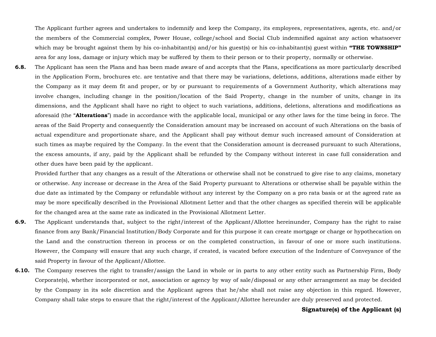The Applicant further agrees and undertakes to indemnify and keep the Company, its employees, representatives, agents, etc. and/or the members of the Commercial complex, Power House, college/school and Social Club indemnified against any action whatsoever which may be brought against them by his co-inhabitant(s) and/or his guest(s) or his co-inhabitant(s) guest within **"THE TOWNSHIP"** area for any loss, damage or injury which may be suffered by them to their person or to their property, normally or otherwise.

**6.8.** The Applicant has seen the Plans and has been made aware of and accepts that the Plans, specifications as more particularly described in the Application Form, brochures etc. are tentative and that there may be variations, deletions, additions, alterations made either by the Company as it may deem fit and proper, or by or pursuant to requirements of a Government Authority, which alterations may involve changes, including change in the position/location of the Said Property, change in the number of units, change in its dimensions, and the Applicant shall have no right to object to such variations, additions, deletions, alterations and modifications as aforesaid (the "**Alterations**") made in accordance with the applicable local, municipal or any other laws for the time being in force. The areas of the Said Property and consequently the Consideration amount may be increased on account of such Alterations on the basis of actual expenditure and proportionate share, and the Applicant shall pay without demur such increased amount of Consideration at such times as maybe required by the Company. In the event that the Consideration amount is decreased pursuant to such Alterations, the excess amounts, if any, paid by the Applicant shall be refunded by the Company without interest in case full consideration and other dues have been paid by the applicant.

Provided further that any changes as a result of the Alterations or otherwise shall not be construed to give rise to any claims, monetary or otherwise. Any increase or decrease in the Area of the Said Property pursuant to Alterations or otherwise shall be payable within the due date as intimated by the Company or refundable without any interest by the Company on a pro rata basis or at the agreed rate as may be more specifically described in the Provisional Allotment Letter and that the other charges as specified therein will be applicable for the changed area at the same rate as indicated in the Provisional Allotment Letter.

- **6.9.** The Applicant understands that, subject to the right/interest of the Applicant/Allottee hereinunder, Company has the right to raise finance from any Bank/Financial Institution/Body Corporate and for this purpose it can create mortgage or charge or hypothecation on the Land and the construction thereon in process or on the completed construction, in favour of one or more such institutions. However, the Company will ensure that any such charge, if created, is vacated before execution of the Indenture of Conveyance of the said Property in favour of the Applicant/Allottee.
- **6.10.** The Company reserves the right to transfer/assign the Land in whole or in parts to any other entity such as Partnership Firm, Body Corporate(s), whether incorporated or not, association or agency by way of sale/disposal or any other arrangement as may be decided by the Company in its sole discretion and the Applicant agrees that he/she shall not raise any objection in this regard. However, Company shall take steps to ensure that the right/interest of the Applicant/Allottee hereunder are duly preserved and protected.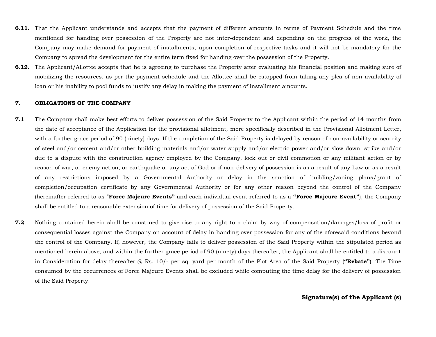- **6.11.** That the Applicant understands and accepts that the payment of different amounts in terms of Payment Schedule and the time mentioned for handing over possession of the Property are not inter-dependent and depending on the progress of the work, the Company may make demand for payment of installments, upon completion of respective tasks and it will not be mandatory for the Company to spread the development for the entire term fixed for handing over the possession of the Property.
- **6.12.** The Applicant/Allottee accepts that he is agreeing to purchase the Property after evaluating his financial position and making sure of mobilizing the resources, as per the payment schedule and the Allottee shall be estopped from taking any plea of non-availability of loan or his inability to pool funds to justify any delay in making the payment of installment amounts.

#### **7. OBLIGATIONS OF THE COMPANY**

- **7.1** The Company shall make best efforts to deliver possession of the Said Property to the Applicant within the period of 14 months from the date of acceptance of the Application for the provisional allotment, more specifically described in the Provisional Allotment Letter, with a further grace period of 90 (ninety) days. If the completion of the Said Property is delayed by reason of non-availability or scarcity of steel and/or cement and/or other building materials and/or water supply and/or electric power and/or slow down, strike and/or due to a dispute with the construction agency employed by the Company, lock out or civil commotion or any militant action or by reason of war, or enemy action, or earthquake or any act of God or if non-delivery of possession is as a result of any Law or as a result of any restrictions imposed by a Governmental Authority or delay in the sanction of building/zoning plans/grant of completion/occupation certificate by any Governmental Authority or for any other reason beyond the control of the Company (hereinafter referred to as "**Force Majeure Events"** and each individual event referred to as a **"Force Majeure Event"**), the Company shall be entitled to a reasonable extension of time for delivery of possession of the Said Property.
- **7.2** Nothing contained herein shall be construed to give rise to any right to a claim by way of compensation/damages/loss of profit or consequential losses against the Company on account of delay in handing over possession for any of the aforesaid conditions beyond the control of the Company. If, however, the Company fails to deliver possession of the Said Property within the stipulated period as mentioned herein above, and within the further grace period of 90 (ninety) days thereafter, the Applicant shall be entitled to a discount in Consideration for delay thereafter @ Rs. 10/- per sq. yard per month of the Plot Area of the Said Property (**"Rebate"**). The Time consumed by the occurrences of Force Majeure Events shall be excluded while computing the time delay for the delivery of possession of the Said Property.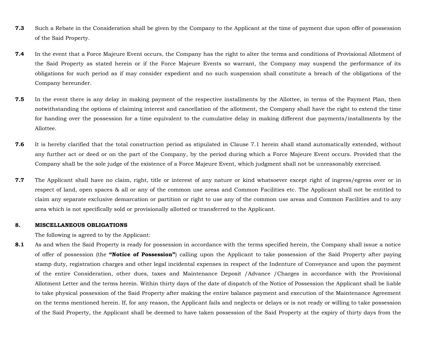- **7.3** Such a Rebate in the Consideration shall be given by the Company to the Applicant at the time of payment due upon offer of possession of the Said Property.
- **7.4** In the event that a Force Majeure Event occurs, the Company has the right to alter the terms and conditions of Provisional Allotment of the Said Property as stated herein or if the Force Majeure Events so warrant, the Company may suspend the performance of its obligations for such period as if may consider expedient and no such suspension shall constitute a breach of the obligations of the Company hereunder.
- **7.5** In the event there is any delay in making payment of the respective installments by the Allottee, in terms of the Payment Plan, then notwithstanding the options of claiming interest and cancellation of the allotment, the Company shall have the right to extend the time for handing over the possession for a time equivalent to the cumulative delay in making different due payments/installments by the Allottee.
- **7.6** It is hereby clarified that the total construction period as stipulated in Clause 7.1 herein shall stand automatically extended, without any further act or deed or on the part of the Company, by the period during which a Force Majeure Event occurs. Provided that the Company shall be the sole judge of the existence of a Force Majeure Event, which judgment shall not be unreasonably exercised.
- **7.7** The Applicant shall have no claim, right, title or interest of any nature or kind whatsoever except right of ingress/egress over or in respect of land, open spaces & all or any of the common use areas and Common Facilities etc. The Applicant shall not be entitled to claim any separate exclusive demarcation or partition or right to use any of the common use areas and Common Facilities and to any area which is not specifically sold or provisionally allotted or transferred to the Applicant.

#### **8. MISCELLANEOUS OBLIGATIONS**

The following is agreed to by the Applicant:

8.1 As and when the Said Property is ready for possession in accordance with the terms specified herein, the Company shall issue a notice of offer of possession (the **"Notice of Possession"**) calling upon the Applicant to take possession of the Said Property after paying stamp duty, registration charges and other legal incidental expenses in respect of the Indenture of Conveyance and upon the payment of the entire Consideration, other dues, taxes and Maintenance Deposit /Advance /Charges in accordance with the Provisional Allotment Letter and the terms herein. Within thirty days of the date of dispatch of the Notice of Possession the Applicant shall be liable to take physical possession of the Said Property after making the entire balance payment and execution of the Maintenance Agreement on the terms mentioned herein. If, for any reason, the Applicant fails and neglects or delays or is not ready or willing to take possession of the Said Property, the Applicant shall be deemed to have taken possession of the Said Property at the expiry of thirty days from the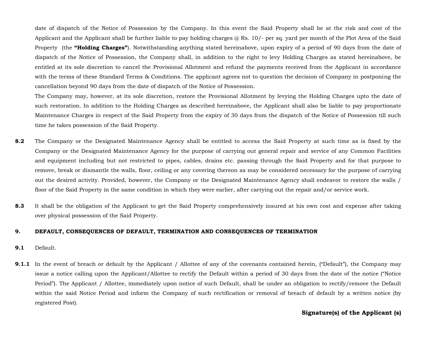date of dispatch of the Notice of Possession by the Company. In this event the Said Property shall be at the risk and cost of the Applicant and the Applicant shall be further liable to pay holding charges  $@$  Rs. 10/- per sq. yard per month of the Plot Area of the Said Property (the **"Holding Charges"**). Notwithstanding anything stated hereinabove, upon expiry of a period of 90 days from the date of dispatch of the Notice of Possession, the Company shall, in addition to the right to levy Holding Charges as stated hereinabove, be entitled at its sole discretion to cancel the Provisional Allotment and refund the payments received from the Applicant in accordance with the terms of these Standard Terms & Conditions. The applicant agrees not to question the decision of Company in postponing the cancellation beyond 90 days from the date of dispatch of the Notice of Possession.

The Company may, however, at its sole discretion, restore the Provisional Allotment by levying the Holding Charges upto the date of such restoration. In addition to the Holding Charges as described hereinabove, the Applicant shall also be liable to pay proportionate Maintenance Charges in respect of the Said Property from the expiry of 30 days from the dispatch of the Notice of Possession till such time he takes possession of the Said Property.

- **8.2** The Company or the Designated Maintenance Agency shall be entitled to access the Said Property at such time as is fixed by the Company or the Designated Maintenance Agency for the purpose of carrying out general repair and service of any Common Facilities and equipment including but not restricted to pipes, cables, drains etc. passing through the Said Property and for that purpose to remove, break or dismantle the walls, floor, ceiling or any covering thereon as may be considered necessary for the purpose of carrying out the desired activity. Provided, however, the Company or the Designated Maintenance Agency shall endeavor to restore the walls / floor of the Said Property in the same condition in which they were earlier, after carrying out the repair and/or service work.
- **8.3** It shall be the obligation of the Applicant to get the Said Property comprehensively insured at his own cost and expense after taking over physical possession of the Said Property.

#### **9. DEFAULT, CONSEQUENCES OF DEFAULT, TERMINATION AND CONSEQUENCES OF TERMINATION**

- **9.1** Default.
- **9.1.1** In the event of breach or default by the Applicant / Allottee of any of the covenants contained herein, ("Default"), the Company may issue a notice calling upon the Applicant/Allottee to rectify the Default within a period of 30 days from the date of the notice ("Notice Period"). The Applicant / Allottee, immediately upon notice of such Default, shall be under an obligation to rectify/remove the Default within the said Notice Period and inform the Company of such rectification or removal of breach of default by a written notice (by registered Post).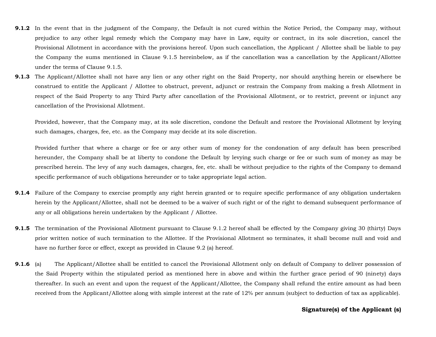- **9.1.2** In the event that in the judgment of the Company, the Default is not cured within the Notice Period, the Company may, without prejudice to any other legal remedy which the Company may have in Law, equity or contract, in its sole discretion, cancel the Provisional Allotment in accordance with the provisions hereof. Upon such cancellation, the Applicant / Allottee shall be liable to pay the Company the sums mentioned in Clause 9.1.5 hereinbelow, as if the cancellation was a cancellation by the Applicant/Allottee under the terms of Clause 9.1.5.
- **9.1.3** The Applicant/Allottee shall not have any lien or any other right on the Said Property, nor should anything herein or elsewhere be construed to entitle the Applicant / Allottee to obstruct, prevent, adjunct or restrain the Company from making a fresh Allotment in respect of the Said Property to any Third Party after cancellation of the Provisional Allotment, or to restrict, prevent or injunct any cancellation of the Provisional Allotment.

Provided, however, that the Company may, at its sole discretion, condone the Default and restore the Provisional Allotment by levying such damages, charges, fee, etc. as the Company may decide at its sole discretion.

Provided further that where a charge or fee or any other sum of money for the condonation of any default has been prescribed hereunder, the Company shall be at liberty to condone the Default by levying such charge or fee or such sum of money as may be prescribed herein. The levy of any such damages, charges, fee, etc. shall be without prejudice to the rights of the Company to demand specific performance of such obligations hereunder or to take appropriate legal action.

- **9.1.4** Failure of the Company to exercise promptly any right herein granted or to require specific performance of any obligation undertaken herein by the Applicant/Allottee, shall not be deemed to be a waiver of such right or of the right to demand subsequent performance of any or all obligations herein undertaken by the Applicant / Allottee.
- **9.1.5** The termination of the Provisional Allotment pursuant to Clause 9.1.2 hereof shall be effected by the Company giving 30 (thirty) Days prior written notice of such termination to the Allottee. If the Provisional Allotment so terminates, it shall become null and void and have no further force or effect, except as provided in Clause 9.2 (a) hereof.
- **9.1.6** (a) The Applicant/Allottee shall be entitled to cancel the Provisional Allotment only on default of Company to deliver possession of the Said Property within the stipulated period as mentioned here in above and within the further grace period of 90 (ninety) days thereafter. In such an event and upon the request of the Applicant/Allottee, the Company shall refund the entire amount as had been received from the Applicant/Allottee along with simple interest at the rate of 12% per annum (subject to deduction of tax as applicable).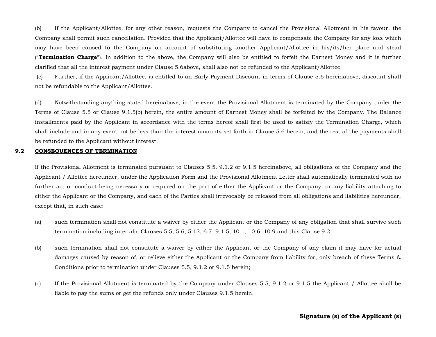(b) If the Applicant/Allottee, for any other reason, requests the Company to cancel the Provisional Allotment in his favour, the Company shall permit such cancellation. Provided that the Applicant/Allottee will have to compensate the Company for any loss which may have been caused to the Company on account of substituting another Applicant/Allottee in his/its/her place and stead ("**Termination Charge**"). In addition to the above, the Company will also be entitled to forfeit the Earnest Money and it is further clarified that all the interest payment under Clause 5.6above, shall also not be refunded to the Applicant/Allottee.

(c) Further, if the Applicant/Allottee, is entitled to an Early Payment Discount in terms of Clause 5.6 hereinabove, discount shall not be refundable to the Applicant/Allottee.

(d) Notwithstanding anything stated hereinabove, in the event the Provisional Allotment is terminated by the Company under the Terms of Clause 5.5 or Clause 9.1.5(b) herein, the entire amount of Earnest Money shall be forfeited by the Company. The Balance installments paid by the Applicant in accordance with the terms hereof shall first be used to satisfy the Termination Charge, which shall include and in any event not be less than the interest amounts set forth in Clause 5.6 herein, and the rest of the payments shall be refunded to the Applicant without interest.

#### **9.2 CONSEQUENCES OF TERMINATION**

If the Provisional Allotment is terminated pursuant to Clauses 5.5, 9.1.2 or 9.1.5 hereinabove, all obligations of the Company and the Applicant / Allottee hereunder, under the Application Form and the Provisional Allotment Letter shall automatically terminated with no further act or conduct being necessary or required on the part of either the Applicant or the Company, or any liability attaching to either the Applicant or the Company, and each of the Parties shall irrevocably be released from all obligations and liabilities hereunder, except that, in such case:

- (a) such termination shall not constitute a waiver by either the Applicant or the Company of any obligation that shall survive such termination including inter alia Clauses 5.5, 5.6, 5.13, 6.7, 9.1.5, 10.1, 10.6, 10.9 and this Clause 9.2;
- (b) such termination shall not constitute a waiver by either the Applicant or the Company of any claim it may have for actual damages caused by reason of, or relieve either the Applicant or the Company from liability for, only breach of these Terms & Conditions prior to termination under Clauses 5.5, 9.1.2 or 9.1.5 herein;
- (c) If the Provisional Allotment is terminated by the Company under Clauses 5.5, 9.1.2 or 9.1.5 the Applicant / Allottee shall be liable to pay the sums or get the refunds only under Clauses 9.1.5 herein.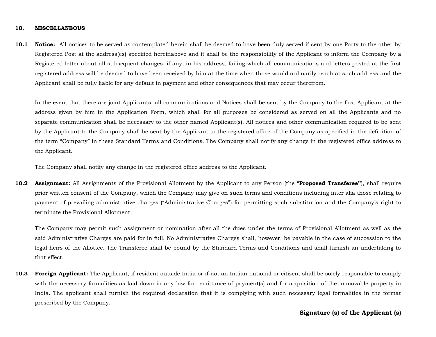#### **10. MISCELLANEOUS**

**10.1 Notice:** All notices to be served as contemplated herein shall be deemed to have been duly served if sent by one Party to the other by Registered Post at the address(es) specified hereinabove and it shall be the responsibility of the Applicant to inform the Company by a Registered letter about all subsequent changes, if any, in his address, failing which all communications and letters posted at the first registered address will be deemed to have been received by him at the time when those would ordinarily reach at such address and the Applicant shall be fully liable for any default in payment and other consequences that may occur therefrom.

In the event that there are joint Applicants, all communications and Notices shall be sent by the Company to the first Applicant at the address given by him in the Application Form, which shall for all purposes be considered as served on all the Applicants and no separate communication shall be necessary to the other named Applicant(s). All notices and other communication required to be sent by the Applicant to the Company shall be sent by the Applicant to the registered office of the Company as specified in the definition of the term "Company" in these Standard Terms and Conditions. The Company shall notify any change in the registered office address to the Applicant.

The Company shall notify any change in the registered office address to the Applicant.

**10.2 Assignment:** All Assignments of the Provisional Allotment by the Applicant to any Person (the "**Proposed Transferee"**), shall require prior written consent of the Company, which the Company may give on such terms and conditions including inter alia those relating to payment of prevailing administrative charges ("Administrative Charges") for permitting such substitution and the Company's right to terminate the Provisional Allotment.

The Company may permit such assignment or nomination after all the dues under the terms of Provisional Allotment as well as the said Administrative Charges are paid for in full. No Administrative Charges shall, however, be payable in the case of succession to the legal heirs of the Allottee. The Transferee shall be bound by the Standard Terms and Conditions and shall furnish an undertaking to that effect.

**10.3 Foreign Applicant:** The Applicant, if resident outside India or if not an Indian national or citizen, shall be solely responsible to comply with the necessary formalities as laid down in any law for remittance of payment(s) and for acquisition of the immovable property in India. The applicant shall furnish the required declaration that it is complying with such necessary legal formalities in the format prescribed by the Company.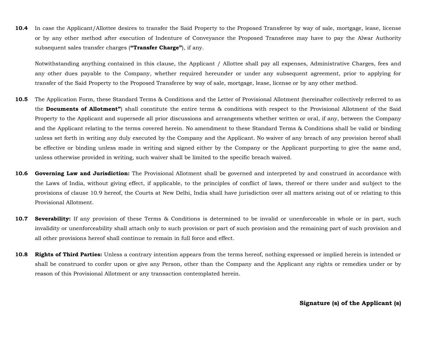**10.4** In case the Applicant/Allottee desires to transfer the Said Property to the Proposed Transferee by way of sale, mortgage, lease, license or by any other method after execution of Indenture of Conveyance the Proposed Transferee may have to pay the Alwar Authority subsequent sales transfer charges (**"Transfer Charge"**), if any.

Notwithstanding anything contained in this clause, the Applicant / Allottee shall pay all expenses, Administrative Charges, fees and any other dues payable to the Company, whether required hereunder or under any subsequent agreement, prior to applying for transfer of the Said Property to the Proposed Transferee by way of sale, mortgage, lease, license or by any other method.

- **10.5** The Application Form, these Standard Terms & Conditions and the Letter of Provisional Allotment (hereinafter collectively referred to as the **Documents of Allotment"**) shall constitute the entire terms & conditions with respect to the Provisional Allotment of the Said Property to the Applicant and supersede all prior discussions and arrangements whether written or oral, if any, between the Company and the Applicant relating to the terms covered herein. No amendment to these Standard Terms & Conditions shall be valid or binding unless set forth in writing any duly executed by the Company and the Applicant. No waiver of any breach of any provision hereof shall be effective or binding unless made in writing and signed either by the Company or the Applicant purporting to give the same and, unless otherwise provided in writing, such waiver shall be limited to the specific breach waived.
- **10.6 Governing Law and Jurisdiction:** The Provisional Allotment shall be governed and interpreted by and construed in accordance with the Laws of India, without giving effect, if applicable, to the principles of conflict of laws, thereof or there under and subject to the provisions of clause 10.9 hereof, the Courts at New Delhi, India shall have jurisdiction over all matters arising out of or relating to this Provisional Allotment.
- **10.7 Severability:** If any provision of these Terms & Conditions is determined to be invalid or unenforceable in whole or in part, such invalidity or unenforceability shall attach only to such provision or part of such provision and the remaining part of such provision and all other provisions hereof shall continue to remain in full force and effect.
- **10.8 Rights of Third Parties:** Unless a contrary intention appears from the terms hereof, nothing expressed or implied herein is intended or shall be construed to confer upon or give any Person, other than the Company and the Applicant any rights or remedies under or by reason of this Provisional Allotment or any transaction contemplated herein.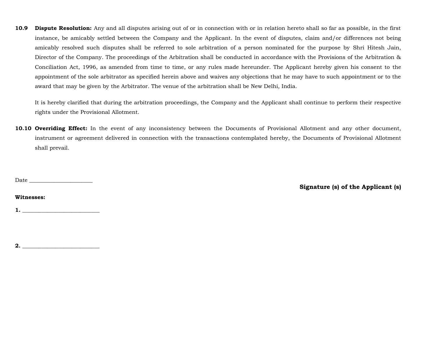**10.9 Dispute Resolution:** Any and all disputes arising out of or in connection with or in relation hereto shall so far as possible, in the first instance, be amicably settled between the Company and the Applicant. In the event of disputes, claim and/or differences not being amicably resolved such disputes shall be referred to sole arbitration of a person nominated for the purpose by Shri Hitesh Jain, Director of the Company. The proceedings of the Arbitration shall be conducted in accordance with the Provisions of the Arbitration & Conciliation Act, 1996, as amended from time to time, or any rules made hereunder. The Applicant hereby given his consent to the appointment of the sole arbitrator as specified herein above and waives any objections that he may have to such appointment or to the award that may be given by the Arbitrator. The venue of the arbitration shall be New Delhi, India.

It is hereby clarified that during the arbitration proceedings, the Company and the Applicant shall continue to perform their respective rights under the Provisional Allotment.

**10.10 Overriding Effect:** In the event of any inconsistency between the Documents of Provisional Allotment and any other document, instrument or agreement delivered in connection with the transactions contemplated hereby, the Documents of Provisional Allotment shall prevail.

Date \_\_\_\_\_\_\_\_\_\_\_\_\_\_\_\_\_\_\_\_\_\_\_

**Signature (s) of the Applicant (s)**

#### **Witnesses:**

**1. \_\_\_\_\_\_\_\_\_\_\_\_\_\_\_\_\_\_\_\_\_\_\_\_\_\_\_\_**

**2. \_\_\_\_\_\_\_\_\_\_\_\_\_\_\_\_\_\_\_\_\_\_\_\_\_\_\_\_**